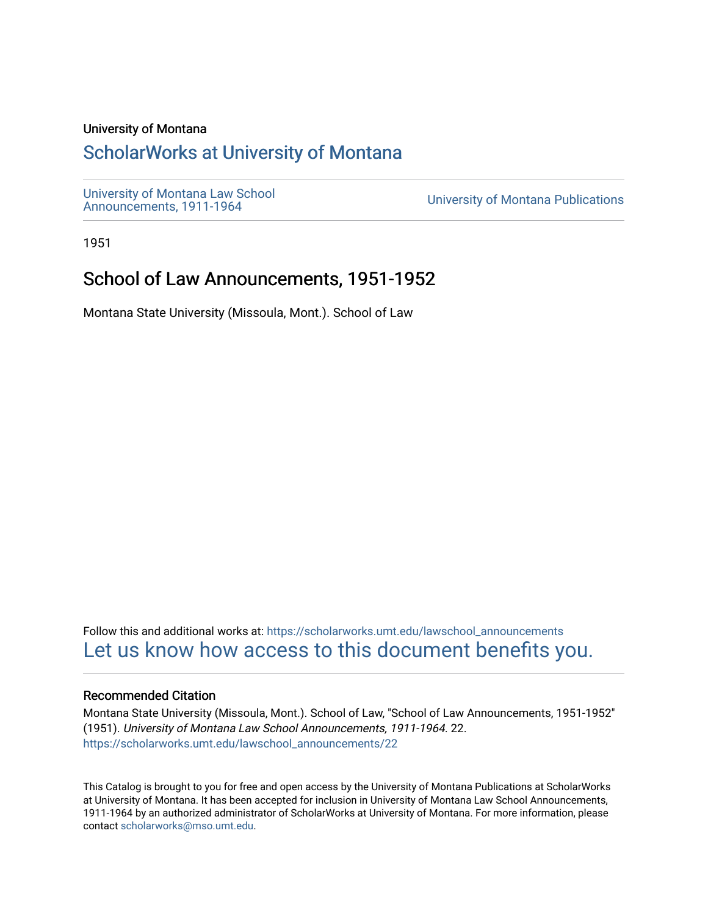## University of Montana

# [ScholarWorks at University of Montana](https://scholarworks.umt.edu/)

[University of Montana Law School](https://scholarworks.umt.edu/lawschool_announcements)<br>Announcements, 1911-1964

**University of Montana Publications** 

1951

# School of Law Announcements, 1951-1952

Montana State University (Missoula, Mont.). School of Law

Follow this and additional works at: [https://scholarworks.umt.edu/lawschool\\_announcements](https://scholarworks.umt.edu/lawschool_announcements?utm_source=scholarworks.umt.edu%2Flawschool_announcements%2F22&utm_medium=PDF&utm_campaign=PDFCoverPages)  [Let us know how access to this document benefits you.](https://goo.gl/forms/s2rGfXOLzz71qgsB2) 

## Recommended Citation

Montana State University (Missoula, Mont.). School of Law, "School of Law Announcements, 1951-1952" (1951). University of Montana Law School Announcements, 1911-1964. 22. [https://scholarworks.umt.edu/lawschool\\_announcements/22](https://scholarworks.umt.edu/lawschool_announcements/22?utm_source=scholarworks.umt.edu%2Flawschool_announcements%2F22&utm_medium=PDF&utm_campaign=PDFCoverPages)

This Catalog is brought to you for free and open access by the University of Montana Publications at ScholarWorks at University of Montana. It has been accepted for inclusion in University of Montana Law School Announcements, 1911-1964 by an authorized administrator of ScholarWorks at University of Montana. For more information, please contact [scholarworks@mso.umt.edu](mailto:scholarworks@mso.umt.edu).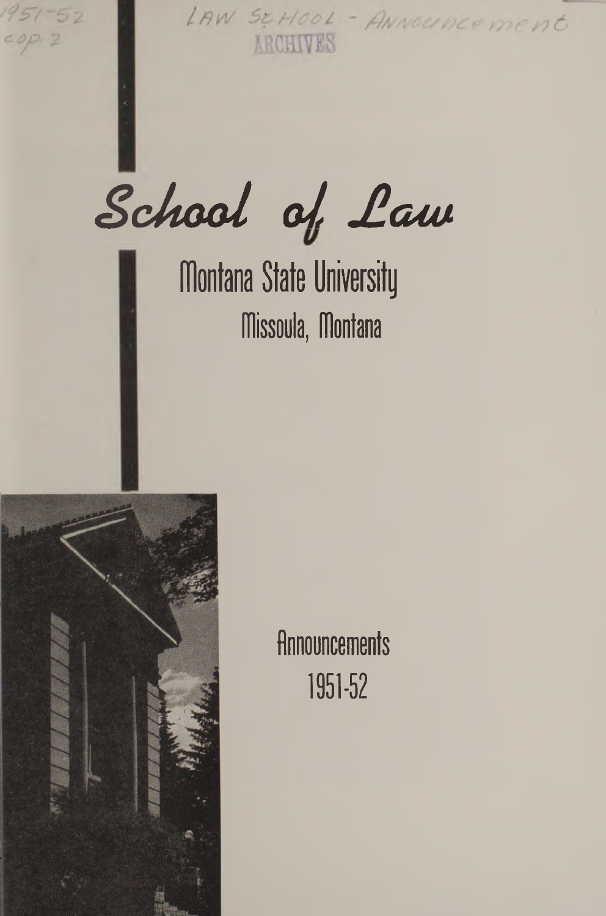$1957 - 52$ 

LAW SCHOOL - ANNOUNCEMENT **ARCHIVES** 

School of Law

**Montana State University fTlissoula, Montana**



**Announcements 1951-52**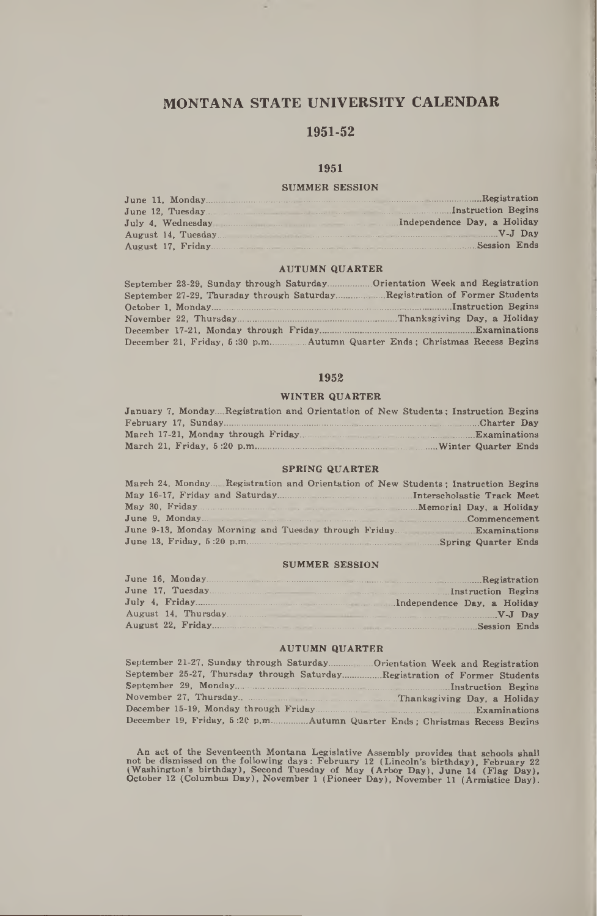## **MONTANA STATE UNIVERSITY CALENDAR**

## **1951-52**

## **1951**

### **SUMMER SESSION**

### **AUTUMN QUARTER**

| September 23-29, Sunday through Saturday | Orientation Week and Registration |
|------------------------------------------|-----------------------------------|
|                                          | Registration of Former Students   |
|                                          |                                   |
|                                          |                                   |
|                                          |                                   |
|                                          |                                   |

#### **1952**

#### **WINTER QUARTER**

| January 7. MondayRegistration and Orientation of New Students: Instruction Begins |  |
|-----------------------------------------------------------------------------------|--|
|                                                                                   |  |
|                                                                                   |  |
|                                                                                   |  |

#### **SPRING QUARTER**

| March 24, MondayRegistration and Orientation of New Students; Instruction Begins |  |
|----------------------------------------------------------------------------------|--|
|                                                                                  |  |
|                                                                                  |  |
|                                                                                  |  |
|                                                                                  |  |
|                                                                                  |  |

#### **SUMMER SESSION**

## **AUTUMN QUARTER**

| September 21-27, Sunday through SaturdayOrientation Week and Registration |  |  |  |
|---------------------------------------------------------------------------|--|--|--|
| September 25-27, Thursday through SaturdayRegistration of Former Students |  |  |  |
|                                                                           |  |  |  |
|                                                                           |  |  |  |
|                                                                           |  |  |  |
|                                                                           |  |  |  |

An act of the Seventeenth Montana Legislative Assembly provides that achools shall<br>not be dismissed on the following days: February 12 (Lincoln's birthday), February 22<br>(Washington's birthday), Second Tuesday of May (Arbor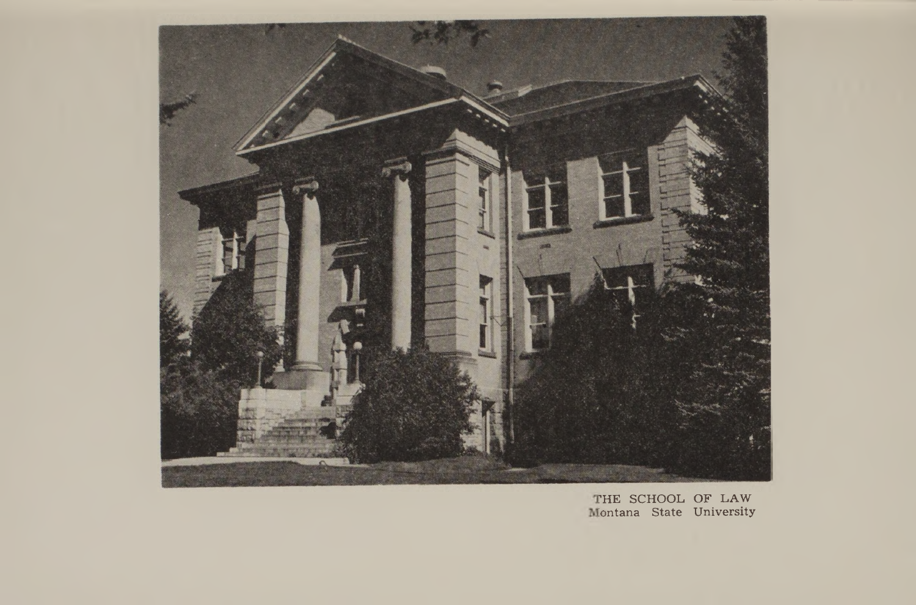

?HE SCHOOL OF LAW Montana State University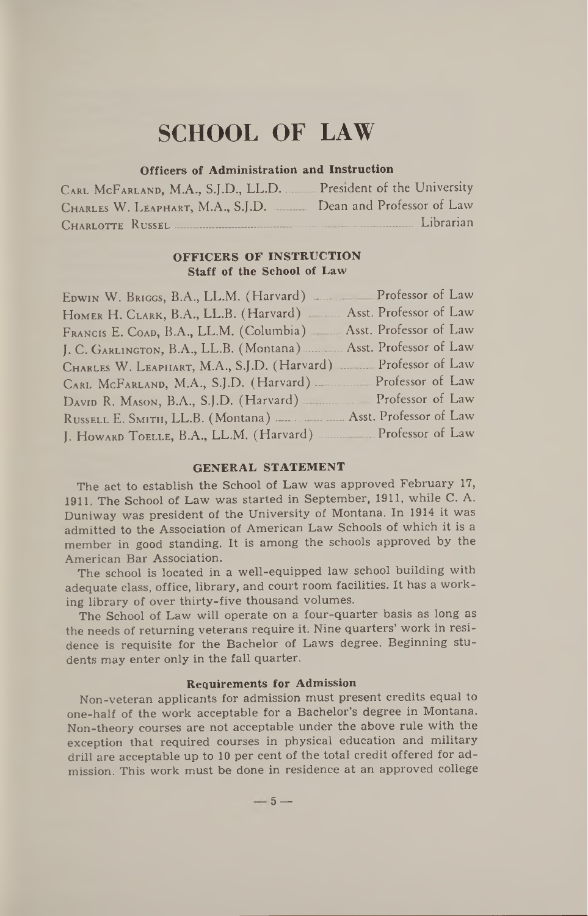# **SCHOOL OF LAW**

## **Officers of Administration and Instruction**

| CARL MCFARLAND, M.A., S.J.D., LL.D. President of the University |                           |
|-----------------------------------------------------------------|---------------------------|
| CHARLES W. LEAPHART, M.A., S.J.D.                               | Dean and Professor of Law |
| CHARLOTTE RUSSEL                                                | Librarian                 |

## **OFFICERS OF INSTRUCTION Staff of the School of Law**

| EDWIN W. BRIGGS, B.A., LL.M. (Harvard) Professor of Law               |                        |
|-----------------------------------------------------------------------|------------------------|
| HOMER H. CLARK, B.A., LL.B. (Harvard)                                 | Asst. Professor of Law |
| FRANCIS E. COAD, B.A., LL.M. (Columbia) Asst. Professor of Law        |                        |
| J. C. GARLINGTON, B.A., LL.B. (Montana) <b>Asst. Professor of Law</b> |                        |
| CHARLES W. LEAPHART, M.A., S.J.D. (Harvard) Professor of Law          |                        |
| CARL MCFARLAND, M.A., S.J.D. (Harvard) ________ Professor of Law      |                        |
| DAVID R. MASON, B.A., S.J.D. (Harvard) Professor of Law               |                        |
| RUSSELL E. SMITH, LL.B. (Montana)  Asst. Professor of Law             |                        |
| J. HOWARD TOELLE, B.A., LL.M. (Harvard) Professor of Law              |                        |

## **GENERAL STATEMENT**

The act to establish the School of Law was approved February 17, 1911. The School of Law was started in September, 1911, while C. A. Duniway was president of the University of Montana. In 1914 it was admitted to the Association of American Law Schools of which it is a member in good standing. It is among the schools approved by the American Bar Association.

The school is located in a well-equipped law school building with adequate class, office, library, and court room facilities. It has a working library of over thirty-five thousand volumes.

The School of Law will operate on a four-quarter basis as long as the needs of returning veterans require it. Nine quarters' work in residence is requisite for the Bachelor of Laws degree. Beginning students may enter only in the fall quarter.

## **Requirements for Admission**

Non-veteran applicants for admission must present credits equal to one-half of the work acceptable for a Bachelor's degree in Montana. Non-theory courses are not acceptable under the above rule with the exception that required courses in physical education and military drill are acceptable up to 10 per cent of the total credit offered for admission. This work must be done in residence at an approved college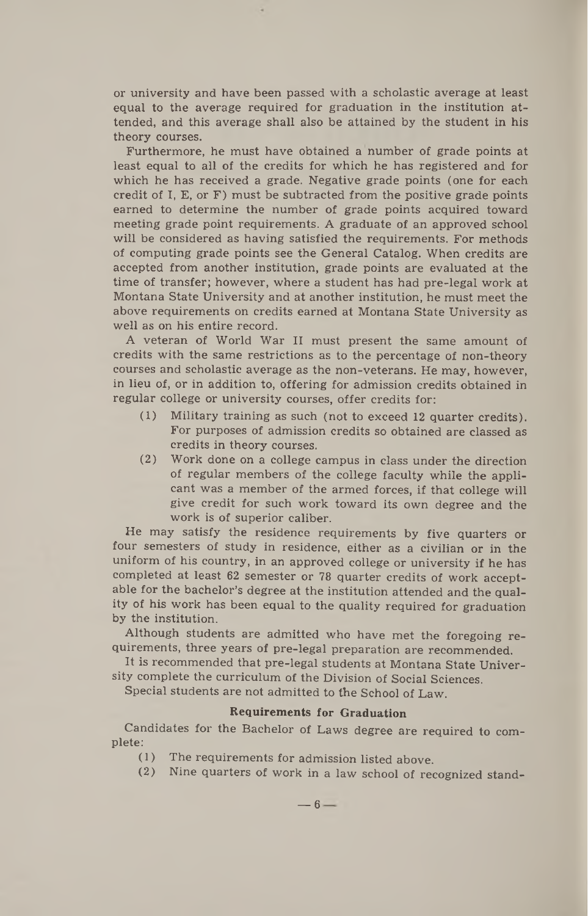or university and have been passed with a scholastic average at least equal to the average required for graduation in the institution attended, and this average shall also be attained by the student in his theory courses.

Furthermore, he must have obtained a number of grade points at least equal to all of the credits for which he has registered and for which he has received a grade. Negative grade points (one for each credit of I, E, or  $F$ ) must be subtracted from the positive grade points earned to determine the number of grade points acquired toward meeting grade point requirements. A graduate of an approved school will be considered as having satisfied the requirements. For methods of computing grade points see the General Catalog. When credits are accepted from another institution, grade points are evaluated at the time of transfer; however, where a student has had pre-legal work at Montana State University and at another institution, he must meet the above requirements on credits earned at Montana State University as well as on his entire record.

A veteran of World War II must present the same amount of credits with the same restrictions as to the percentage of non-theory courses and scholastic average as the non-veterans. He may, however, in lieu of, or in addition to, offering for admission credits obtained in regular college or university courses, offer credits for:

- (1) Military training as such (not to exceed 12 quarter credits). For purposes of admission credits so obtained are classed as credits in theory courses.
- (2) Work done on a college campus in class under the direction of regular members of the college faculty while the applicant was a member of the armed forces, if that college will give credit for such work toward its own degree and the work is of superior caliber.

He may satisfy the residence requirements by five quarters or four semesters of study in residence, either as a civilian or in the uniform of his country, in an approved college or university if he has completed at least 62 semester or 78 quarter credits of work acceptable for the bachelor's degree at the institution attended and the quality of his work has been equal to the quality required for graduation by the institution.

Although students are admitted who have met the foregoing requirements, three years of pre-legal preparation are recommended.

It is recommended that pre-legal students at Montana State University complete the curriculum of the Division of Social Sciences.

Special students are not admitted to the School of Law.

## **Requirements for Graduation**

Candidates for the Bachelor of Laws degree are required to complete:

- (1) The requirements for admission listed above.<br>(2) Nine quarters of work in a law school of requirement
- Nine quarters of work in a law school of recognized stand-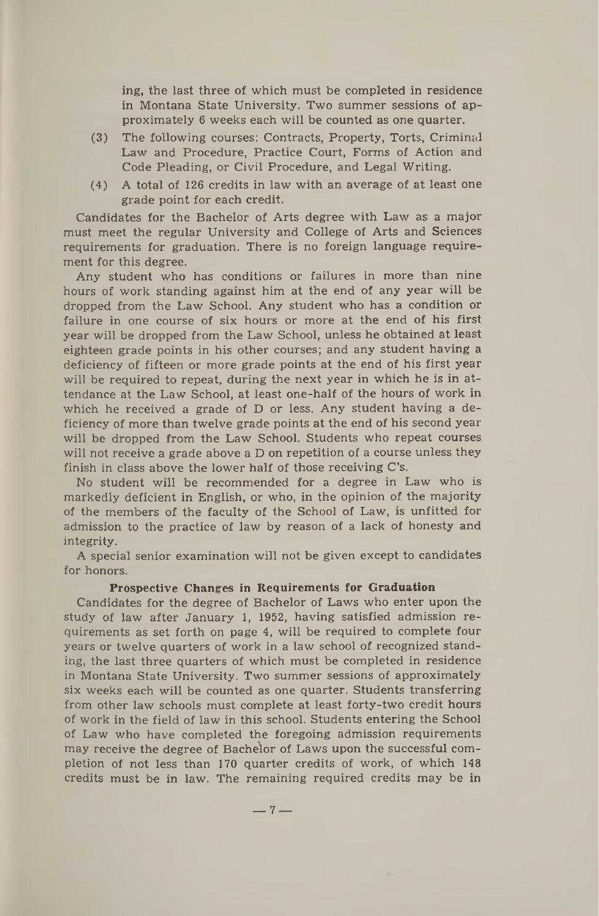ing, the last three of which must be completed in residence in Montana State University. Two summer sessions of approximately 6 weeks each will be counted as one quarter.

- (3) The following courses: Contracts, Property, Torts, Criminal Law and Procedure, Practice Court, Forms of Action and Code Pleading, or Civil Procedure, and Legal Writing.
- (4) A total of 126 credits in law with an average of at least one grade point for each credit.

Candidates for the Bachelor of Arts degree with Law as a major must meet the regular University and College of Arts and Sciences requirements for graduation. There is no foreign language requirement for this degree.

Any student who has conditions or failures in more than nine hours of work standing against him at the end of any year will be dropped from the Law School. Any student who has a condition or failure in one course of six hours or more at the end of his first year will be dropped from the Law School, unless he obtained at least eighteen grade points in his other courses; and any student having a deficiency of fifteen or more grade points at the end of his first year will be required to repeat, during the next year in which he is in attendance at the Law School, at least one-half of the hours of work in which he received a grade of D or less. Any student having a deficiency of more than twelve grade points at the end of his second year will be dropped from the Law School. Students who repeat courses will not receive a grade above a D on repetition of a course unless they finish in class above the lower half of those receiving C's.

No student will be recommended for a degree in Law who is markedly deficient in English, or who, in the opinion of the majority of the members of the faculty of the School of Law, is unfitted for admission to the practice of law by reason of a lack of honesty and integrity.

A special senior examination will not be given except to candidates for honors.

## **Prospective Changes in Requirements for Graduation**

Candidates for the degree of Bachelor of Laws who enter upon the study of law after January 1, 1952, having satisfied admission requirements as set forth on page 4, will be required to complete four years or twelve quarters of work in a law school of recognized standing, the last three quarters of which must be completed in residence in Montana State University. Two summer sessions of approximately six weeks each will be counted as one quarter. Students transferring from other law schools must complete at least forty-two credit hours of work in the field of law in this school. Students entering the School of Law who have completed the foregoing admission requirements may receive the degree of Bachelor of Laws upon the successful completion of not less than 170 quarter credits of work, of which 148 credits must be in law. The remaining required credits may be in

 $-7-$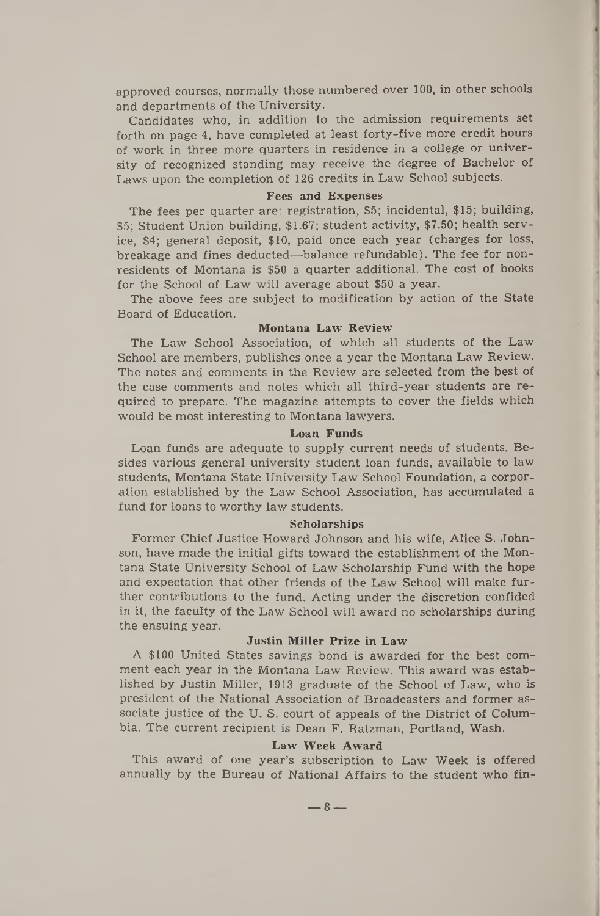approved courses, normally those numbered over 100, in other schools and departments of the University.

Candidates who, in addition to the admission requirements set forth on page 4, have completed at least forty-five more credit hours of work in three more quarters in residence in a college or university of recognized standing may receive the degree of Bachelor of Laws upon the completion of 126 credits in Law School subjects.

### **Fees and Expenses**

The fees per quarter are: registration, \$5; incidental, \$15; building, \$5; Student Union building, \$1.67; student activity, \$7.50; health service, \$4; general deposit, \$10, paid once each year (charges for loss, breakage and fines deducted—balance refundable). The fee for nonresidents of Montana is \$50 a quarter additional. The cost of books for the School of Law will average about \$50 a year.

The above fees are subject to modification by action of the State Board of Education.

## **Montana Law Review**

The Law School Association, of which all students of the Law School are members, publishes once a year the Montana Law Review. The notes and comments in the Review are selected from the best of the case comments and notes which all third-year students are required to prepare. The magazine attempts to cover the fields which would be most interesting to Montana lawyers.

#### **Loan Funds**

Loan funds are adequate to supply current needs of students. Besides various general university student loan funds, available to law students, Montana State University Law School Foundation, a corporation established by the Law School Association, has accumulated a fund for loans to worthy law students.

#### **Scholarships**

Former Chief Justice Howard Johnson and his wife, Alice S. Johnson, have made the initial gifts toward the establishment of the Montana State University School of Law Scholarship Fund with the hope and expectation that other friends of the Law School will make further contributions to the fund. Acting under the discretion confided in it, the faculty of the Law School will award no scholarships during the ensuing year.

#### **Justin Miller Prize in Law**

A \$100 United States savings bond is awarded for the best comment each year in the Montana Law Review. This award was established by Justin Miller, 1913 graduate of the School of Law, who is president of the National Association of Broadcasters and former associate justice of the U. S. court of appeals of the District of Columbia. The current recipient is Dean F. Ratzman, Portland, Wash.

### **Law Week Award**

This award of one year's subscription to Law Week is offered annually by the Bureau of National Affairs to the student who fin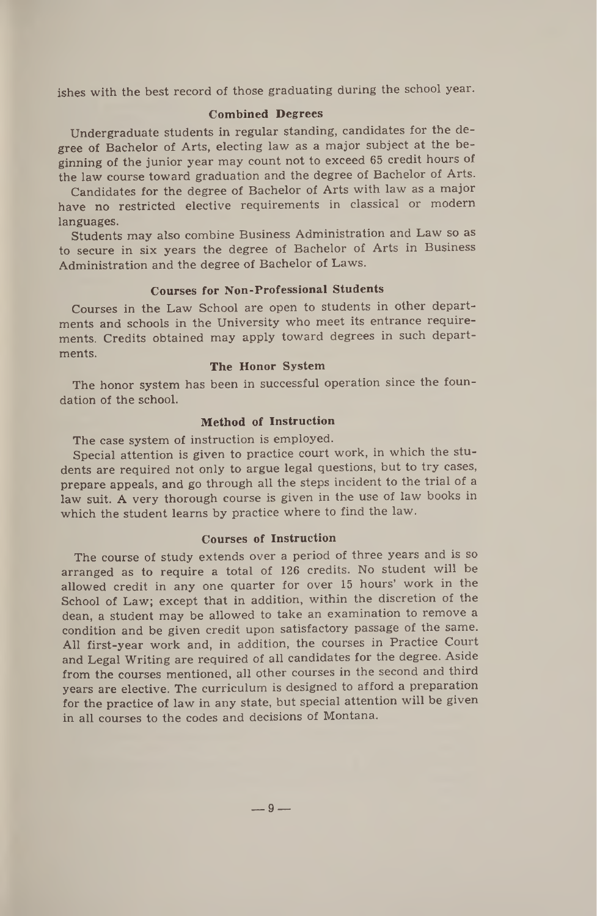ishes with the best record of those graduating during the school year.

## **Combined Degrees**

Undergraduate students in regular standing, candidates for the degree of Bachelor of Arts, electing law as a major subject at the beginning of the junior year may count not to exceed 65 credit hours of the law course toward graduation and the degree of Bachelor of Arts.

Candidates for the degree of Bachelor of Arts with law as a major have no restricted elective requirements in classical or modern languages.

Students may also combine Business Administration and Law so as to secure in six years the degree of Bachelor of Arts in Business Administration and the degree of Bachelor of Laws.

## **Courses for Non-Professional Students**

Courses in the Law School are open to students in other departments and schools in the University who meet its entrance requirements. Credits obtained may apply toward degrees in such departments.

## **The Honor System**

The honor system has been in successful operation since the foundation of the school.

## **Method of Instruction**

The case system of instruction is employed.

Special attention is given to practice court work, in which the students are required not only to argue legal questions, but to try cases, prepare appeals, and go through all the steps incident to the trial of a law suit. A very thorough course is given in the use of law books in which the student learns by practice where to find the law.

## **Courses of Instruction**

The course of study extends over a period of three years and is so arranged as to require a total of 126 credits. No student will be allowed credit in any one quarter for over 15 hours' work in the School of Law; except that in addition, within the discretion of the dean, a student may be allowed to take an examination to remove a condition and be given credit upon satisfactory passage of the same. All first-year work and, in addition, the courses in Practice Court and Legal Writing are required of all candidates for the degree. Aside from the courses mentioned, all other courses in the second and third years are elective. The curriculum is designed to afford a preparation for the practice of law in any state, but special attention will be given in all courses to the codes and decisions of Montana.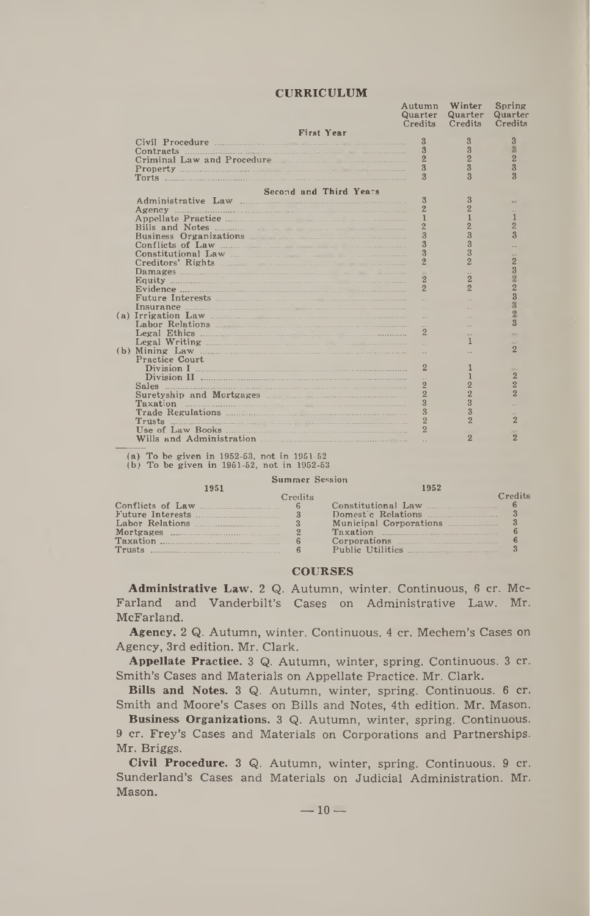## **CURRICULUM**

| <b>CURRICULUM</b>          |                         |                         |                         |
|----------------------------|-------------------------|-------------------------|-------------------------|
|                            |                         |                         |                         |
|                            | Autumn                  | Winter                  | Spring                  |
|                            | Quarter                 | Quarter                 | Quarter                 |
|                            | Credits                 | Credits                 | Credits                 |
| <b>First Year</b>          |                         |                         |                         |
|                            | 3                       | 3                       | $\overline{3}$          |
| Contracts                  | 3                       | 3                       | 8                       |
| Criminal Law and Procedure | $\overline{2}$          | $\overline{2}$          | $\overline{2}$          |
|                            | 3                       | $\overline{\mathbf{3}}$ | $\overline{3}$          |
|                            | $\overline{\mathbf{3}}$ | $\overline{3}$          | $\overline{\mathbf{3}}$ |
|                            |                         |                         |                         |
| Second and Third Years     |                         |                         |                         |
| Administrative Law         | 3                       | 3                       | <b>ALC</b>              |
|                            |                         | $\overline{2}$          |                         |
|                            | 1                       |                         |                         |
|                            |                         | $\overline{2}$          | $\overline{2}$          |
| Business Organizations     | $\overline{3}$          | 3                       | $\mathbf{R}$            |
| Conflicts of Law           | $\overline{3}$          | 3                       |                         |
| Constitutional Law         | 3                       | 3                       |                         |
|                            | $\overline{2}$          | $\overline{2}$          | $\overline{2}$          |
|                            |                         |                         |                         |
| Equity                     | $\overline{2}$          | $\overline{2}$          |                         |
|                            | $\overline{2}$          | $\overline{2}$          |                         |
|                            |                         |                         | 3233                    |
|                            |                         |                         |                         |
| (a) Irrigation Law         |                         |                         | ğ                       |
|                            |                         |                         | $\overline{\mathbf{3}}$ |
|                            |                         |                         |                         |
|                            |                         |                         |                         |
| (b) Mining Law             |                         |                         | $\overline{2}$          |
| Practice Court             |                         |                         |                         |
|                            | $\overline{2}$          |                         |                         |
|                            |                         |                         | $\overline{2}$          |
| Sales                      | 2                       | $\overline{2}$          | $\overline{2}$          |
| Suretyship and Mortgages   | $\overline{2}$          | $\overline{2}$          | $\overline{2}$          |
| $\sim$                     | 3                       | $\overline{3}$          |                         |
| Taxation                   | $\overline{3}$          | $\overline{3}$          |                         |
|                            | $\overline{2}$          | $\mathcal{P}$           | $\overline{2}$          |
| Trusts                     | $\overline{2}$          |                         |                         |
|                            |                         |                         | $\overline{2}$          |
|                            |                         | 2                       |                         |

(a) To be given in 1952-53, not in 1951-52 (b) To be given in 1951-52, not in 1952-53

| <b>Summer Session</b> |                |                           |         |
|-----------------------|----------------|---------------------------|---------|
| 1951                  |                | 1952                      |         |
|                       | <b>Credits</b> |                           | Credits |
|                       |                | Constitutional Law        |         |
|                       |                |                           |         |
|                       |                | Municipal Corporations 23 |         |
| Mortgages $\ldots$ 2  |                |                           |         |
|                       |                |                           |         |
|                       |                | Public Utilities          |         |

## **COURSES**

**Administrative Law.** 2 Q. Autumn, winter. Continuous, 6 cr. Mc-Farland and Vanderbilt's Cases on Administrative Law. Mr. McFarland.

**Agency.** 2 Q. Autumn, winter. Continuous. 4 cr. Mechem's Cases on Agency, 3rd edition. Mr. Clark.

**Appellate Practice.** 3 Q. Autumn, winter, spring. Continuous. 3 cr. Smith's Cases and Materials on Appellate Practice. Mr. Clark.

**Bills and Notes.** 3 Q. Autumn, winter, spring. Continuous. 6 cr. Smith and Moore's Cases on Bills and Notes, 4th edition. Mr. Mason.

**Business Organizations.** 3 Q. Autumn, winter, spring. Continuous. 9 cr. Frey's Cases and Materials on Corporations and Partnerships. Mr. Briggs.

**Civil Procedure.** 3 Q. Autumn, winter, spring. Continuous. 9 cr. Sunderland's Cases and Materials on Judicial Administration. Mr. Mason.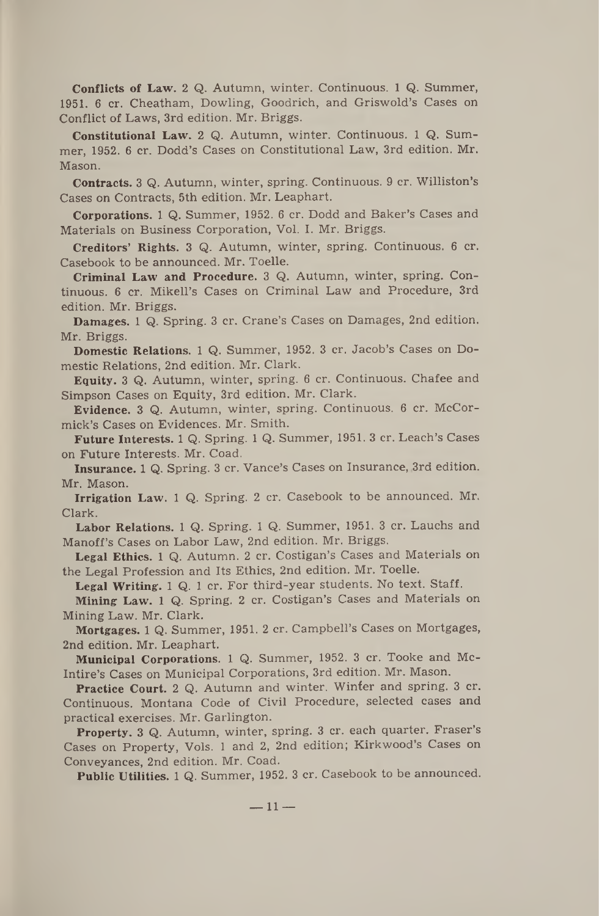**Conflicts of Law.** 2 Q. Autumn, winter. Continuous. <sup>1</sup> Q. Summer, 1951. 6 cr. Cheatham, Dowling, Goodrich, and Griswold's Cases on Conflict of Laws, 3rd edition. Mr. Briggs.

**Constitutional Law.** 2 Q. Autumn, winter. Continuous. <sup>1</sup> Q. Summer, 1952. 6 cr. Dodd's Cases on Constitutional Law, 3rd edition. Mr. Mason.

**Contracts.** 3 Q. Autumn, winter, spring. Continuous. 9 cr. Williston's Cases on Contracts, 5th edition. Mr. Leaphart.

**Corporations.** <sup>1</sup> Q. Summer, 1952. 6 cr. Dodd and Baker's Cases and Materials on Business Corporation, Vol. I. Mr. Briggs.

**Creditors' Rights.** 3 Q. Autumn, winter, spring. Continuous. 6 cr. Casebook to be announced. Mr. Toelle.

**Criminal Law and Procedure.** 3 Q. Autumn, winter, spring. Continuous. 6 cr. Mikell's Cases on Criminal Law and Procedure, 3rd edition. Mr. Briggs.

**Damages.** <sup>1</sup> Q. Spring. 3 cr. Crane's Cases on Damages, 2nd edition. Mr. Briggs.

**Domestic Relations.** <sup>1</sup> Q. Summer, 1952. 3 cr. Jacob's Cases on Domestic Relations, 2nd edition. Mr. Clark.

**Equity.** 3 Q. Autumn, winter, spring. 6 cr. Continuous. Chafee and Simpson Cases on Equity, 3rd edition. Mr. Clark.

**Evidence.** 3 Q. Autumn, winter, spring. Continuous. 6 cr. McCormick's Cases on Evidences. Mr. Smith.

**Future Interests.** <sup>1</sup> Q. Spring. <sup>1</sup> Q. Summer, 1951. 3 cr. Leach's Cases on Future Interests. Mr. Coad.

**Insurance.** 1 Q. Spring. 3 cr. Vance's Cases on Insurance, 3rd edition. Mr. Mason.

**Irrigation Law.** <sup>1</sup> Q. Spring. 2 cr. Casebook to be announced. Mr. Clark.

**Labor Relations.** <sup>1</sup> Q. Spring. <sup>1</sup> Q. Summer, 1951. 3 cr. Lauchs and Manoff's Cases on Labor Law, 2nd edition. Mr. Briggs.

**Legal Ethics.** <sup>1</sup> Q. Autumn. 2 cr. Costigan's Cases and Materials on the Legal Profession and Its Ethics, 2nd edition. Mr. Toelle.

**Legal Writing.** <sup>1</sup> Q. <sup>1</sup> cr. For third-year students. No text. Staff.

**Mining Law.** <sup>1</sup> Q. Spring. 2 cr. Costigan's Cases and Materials on Mining Law. Mr. Clark.

**Mortgages.** 1 Q. Summer, 1951. 2 cr. Campbell's Cases on Mortgages, 2nd edition. Mr. Leaphart.

**Municipal Corporations.** <sup>1</sup> Q. Summer, 1952. 3 cr. Tooke and Mc-Intire's Cases on Municipal Corporations, 3rd edition. Mr. Mason.

**Practice Court.** 2 Q. Autumn and winter. Winter and spring. 3 cr. Continuous. Montana Code of Civil Procedure, selected cases and practical exercises. Mr. Garlington.

**Property.** 3 Q. Autumn, winter, spring. 3 cr. each quarter. Fraser's Cases on Property, Vols. <sup>1</sup> and 2, 2nd edition; Kirkwood's Cases on Conveyances, 2nd edition. Mr. Coad.

**Public Utilities.** <sup>1</sup> Q. Summer, 1952. 3 cr. Casebook to be announced.

 $-11-$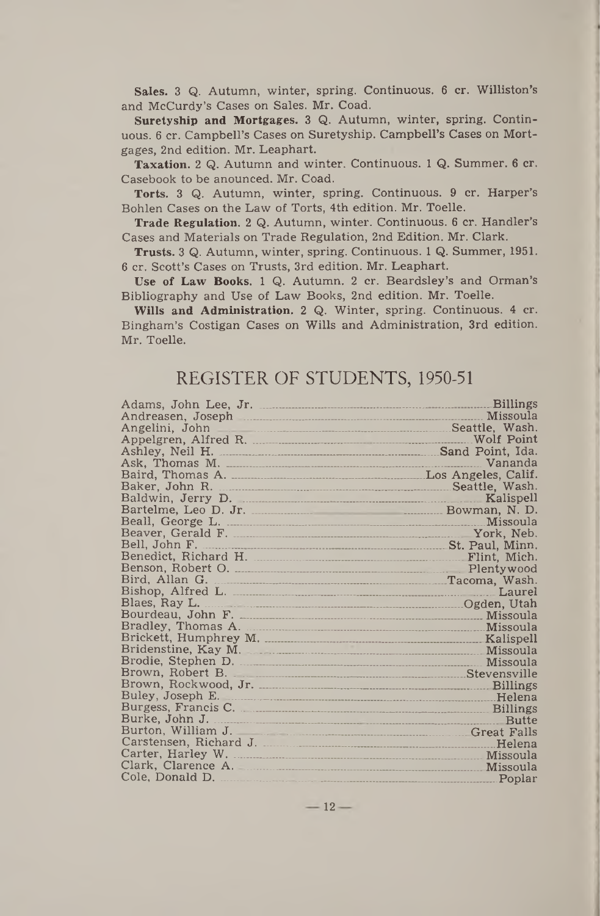Sales. 3 Q. Autumn, winter, spring. Continuous. 6 cr. Williston's and McCurdy's Cases on Sales. Mr. Coad.

Suretyship and Mortgages. 3 Q. Autumn, winter, spring. Continuous. 6 cr. Campbell's Cases on Suretyship. Campbell's Cases on Mortgages, 2nd edition. Mr. Leaphart.

Taxation. 2 Q. Autumn and winter. Continuous. <sup>1</sup> Q. Summer. 6 cr. Casebook to be anounced. Mr. Coad.

Torts. 3 Q. Autumn, winter, spring. Continuous. 9 cr. Harper's Bohlen Cases on the Law of Torts, 4th edition. Mr. Toelle.

Trade Regulation. 2 Q. Autumn, winter. Continuous. 6 cr. Handler's Cases and Materials on Trade Regulation, 2nd Edition. Mr. Clark.

Trusts. 3 Q. Autumn, winter, spring. Continuous. <sup>1</sup> Q. Summer, 1951. 6 cr. Scott's Cases on Trusts, 3rd edition. Mr. Leaphart.

Use of Law Books. <sup>1</sup> Q. Autumn. 2 cr. Beardsley's and Orman's Bibliography and Use of Law Books, 2nd edition. Mr. Toelle.

Wills and Administration. 2 Q. Winter, spring. Continuous. 4 cr. Bingham's Costigan Cases on Wills and Administration, 3rd edition. Mr. Toelle.

# REGISTER OF STUDENTS, 1950-51

|                                                                                                                 | <b>Billings</b>     |
|-----------------------------------------------------------------------------------------------------------------|---------------------|
|                                                                                                                 | Missoula            |
| Angelini, John                                                                                                  | Seattle, Wash.      |
| Appelgren, Alfred R.                                                                                            | Wolf Point          |
|                                                                                                                 | Sand Point, Ida.    |
|                                                                                                                 | Vananda             |
|                                                                                                                 | Los Angeles, Calif. |
| Baker, John R.                                                                                                  | Seattle, Wash.      |
| Baldwin, Jerry D.                                                                                               | Kalispell           |
|                                                                                                                 | Bowman, N. D.       |
|                                                                                                                 | Missoula            |
|                                                                                                                 | York, Neb.          |
|                                                                                                                 | St. Paul, Minn.     |
| Benedict, Richard H. Martin Martin Martin Martin Communication of the Benedict, Richard                         | Flint. Mich.        |
|                                                                                                                 | Plentywood          |
|                                                                                                                 | Tacoma, Wash.       |
|                                                                                                                 | Laurel              |
|                                                                                                                 | Ogden, Utah         |
| Bourdeau, John F. 2008. 2010. 2010. 2010. 2010. 2010. 2010. 2010. 2010. 2010. 2010. 2010. 2010. 2010. 2010. 20  | Missoula            |
| Bradley, Thomas A.                                                                                              | Missoula            |
|                                                                                                                 | Kalispell           |
| Bridenstine, Kay M.                                                                                             | Missoula            |
| Brodie, Stephen D. 2006. 2007. 2010. 2010. 2010. 2010. 2010. 2010. 2010. 2010. 2010. 2010. 2010. 2010. 2010. 20 | Missoula            |
| Brown, Robert B.                                                                                                | Stevensville        |
|                                                                                                                 | <b>Billings</b>     |
| Buley, Joseph E.                                                                                                | <u>Helena</u>       |
| Burgess, Francis C.                                                                                             | <b>Billings</b>     |
| Burke, John J.                                                                                                  | <b>Butte</b>        |
| Burton, William J.                                                                                              | Great Falls         |
| Carstensen, Richard J.                                                                                          | Helena              |
| Carter, Harley W.                                                                                               | Missoula            |
| Clark, Clarence A.                                                                                              | Missoula            |
| Cole, Donald D.                                                                                                 | Poplar              |

 $-12-$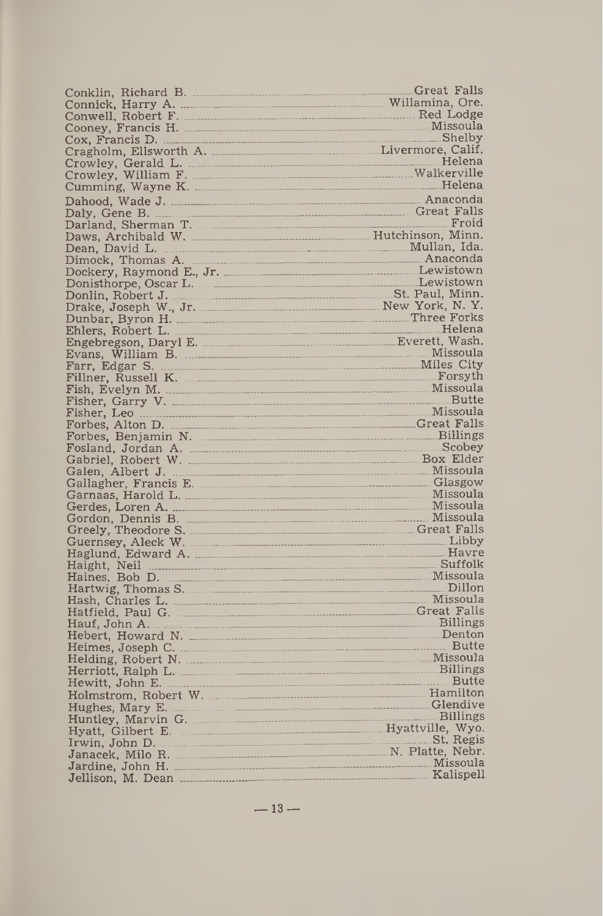Conklin, Richard B. .....<br>Connick, Harry A. .........<br>Conwell, Robert F. ........ Cooney, Francis H.\_\_\_ Cox, Francis D----------- Cragholm, Ellsworth A. Crowley, Gerald L. \_\_ Crowley, William F.\_\_ Cumming, Wayne K.\_ Cumming, Wayne K.<br>Dahood, Wade J.<br>Dahood, Wade J. Danood, Made J.<br>Daly, Gene B.<br>Darland, Sherman T.  $Daws, Archibald W.$ Dean, David L.\_\_\_\_\_\_\_\_\_\_ \_\_\_\_\_\_\_\_\_\_\_\_\_Mullan, Ida. Dimock, Thomas A\_\_\_\_\_\_\_\_ \_\_\_\_\_\_\_\_\_\_\_\_\_\_\_\_\_ Anaconda Dockery, Raymond E., Jr.\_\_ Donisthorpe, Oscar L.\_\_\_\_\_ Donlin, Robert J. —\_\_\_\_\_\_\_\_ Drake, Joseph W., Jr\_\_ \_\_\_ Dunbar, Byron H.\_\_\_\_\_\_\_\_\_ Ehlers, Robert L.\_\_\_\_\_\_\_\_\_ Engebregson, Daryl E.\_\_\_\_\_ Evans, William B.\_\_\_\_\_\_\_ Farr, Edgar S. \_\_\_\_\_\_\_\_\_\_\_ Fillner, Russell K.\_\_\_\_\_\_\_ Fish, Evelyn M\_\_\_\_ \_\_\_\_\_\_ Fisher, Garry V....... ............. \_\_\_\_\_\_\_\_\_\_\_\_\_\_\_\_\_\_\_\_\_Butte Fisher, Leo Forbes, Alton D.\_\_\_\_\_\_\_\_\_\_ Forbes, Benjamin N.\_\_\_\_\_ Fosland, Jordan A. \_\_\_\_\_\_\_ Tobaniel, Robert W.<br>Gabriel, Robert V.<br>Gallagher, Francis E. Garnaas, Harold L.<br>Garnaas, Harold L.<br>Gerdes, Loren A.<br>Gordon, Dennis B. Greely, Theodore S.\_\_\_\_\_\_\_ Guernsey, Aleck W.\_\_\_\_\_\_\_ Haglund, Edward A.\_\_\_\_\_\_ Haight, Neil \_\_\_\_\_\_\_\_\_\_\_\_\_ \_\_\_\_\_\_\_\_\_\_\_\_\_\_\_\_\_ Suffolk Haines, Bob D. \_\_\_\_\_\_\_\_\_\_ \_\_\_\_\_\_\_\_\_\_\_\_\_\_\_\_\_\_ Missoula Hartwig, Thomas S\_\_\_\_\_\_\_\_ Hash, Charles L.\_\_\_\_\_\_\_\_\_ Hatfield, Paul G.<br>Hatfield, Paul G.<br>Hauf, John A.<br>Hebert, Howard N.<br>Heimes, Joseph C. Helding, Robert N. ................<br>Herriott, Ralph L. ................. Hewitt, John E.<br>Hewitt, John E. Holmstrom, Robert W. ....\_\_ \_\_\_\_\_\_\_\_\_\_\_\_ Hamilton Hughes, Mary E. Huntley, Marvin G. Hyatt, Gilbert E.<br>Irwin, John D.<br>Janacek, Milo R. Jardine, John H.<br>Jardine, John H. .....................<br>Jellison, M. Dean Great Falls —Willamina, Ore. \_\_\_\_\_ Red Lodge \_ .......Missoula \_\_\_\_\_\_\_\_\_Shelby Livermore, Calif. \_ \_ \_\_\_\_\_ Helena \_\_\_\_ Walkerville \_\_\_\_\_\_\_\_\_\_\_\_\_\_\_\_\_Anaconda \_\_\_\_\_ Great Falls \_\_\_\_\_\_\_\_\_\_\_\_\_\_\_\_\_\_\_\_ Froid \_\_\_\_\_\_\_\_\_ Hutchinson, Minn. \_\_\_\_\_\_\_\_\_\_\_\_Lewistown \_\_\_\_\_.Lewistown \_\_\_\_\_\_\_ St. Paul, Minn. \_\_\_\_\_\_\_\_\_\_\_New York, N. Y. \_\_\_\_\_\_\_\_\_\_\_\_\_\_\_Three Forks \_\_\_\_\_\_\_\_\_\_\_\_\_\_\_\_\_\_\_ Helena \_\_\_\_\_\_\_\_\_Everett, Wash. \_ \_\_\_\_\_\_\_\_\_\_\_\_\_\_\_\_Missoula \_\_\_\_\_\_\_\_\_\_\_Miles City \_\_\_\_\_\_\_\_\_\_\_\_\_\_\_\_\_\_\_Forsyth \_\_\_\_\_\_\_\_\_\_\_\_\_\_\_\_\_\_Missoula \_\_\_\_\_\_\_\_\_\_\_\_\_\_\_\_\_\_Missoula \_\_\_\_\_\_\_\_\_\_\_\_\_\_\_\_Great\_Falls \_\_\_\_\_\_\_\_\_ Billings \_\_\_\_\_\_\_\_\_\_\_\_\_\_\_\_\_\_\_ Scobey \_\_\_\_\_\_\_\_\_\_.Box Elder \_\_\_\_\_\_\_\_\_\_\_\_\_\_\_\_\_\_Missoula \_\_\_\_\_\_\_\_\_\_\_\_\_\_\_\_\_\_ Glasgow \_\_\_\_\_\_\_\_\_\_\_\_\_\_\_\_\_\_ Missoula \_\_\_\_\_\_\_\_\_\_\_\_\_\_\_\_\_\_Missoula Great Falls<br>Billings<br>Scobey<br>Box Elder<br>Missoula<br>Glasgow<br>Missoula<br>Missoula<br>Great Falls<br>Libby \_\_\_\_\_\_\_\_\_\_\_\_\_\_\_\_\_\_\_\_\_\_\_\_Great\_Falls \_\_\_\_\_\_\_\_\_\_\_\_\_\_\_\_\_\_\_\_ Libby \_\_\_\_\_\_\_\_\_\_\_\_\_\_\_\_\_\_\_\_ Havre \_\_\_\_\_\_\_\_\_\_\_\_\_\_\_\_\_\_\_\_ Dillon \_\_\_\_\_\_\_\_\_\_\_\_\_\_\_\_\_\_ Missoula \_\_\_\_\_\_\_\_\_\_\_\_\_\_\_\_\_\_\_\_\_\_Great\_Falls \_\_\_\_\_\_\_\_\_\_\_\_\_\_\_\_\_\_\_Billings \_\_\_\_\_\_\_\_\_\_\_\_\_\_\_\_\_\_\_ Denton \_\_\_\_\_\_\_\_\_\_\_\_\_\_\_\_\_\_\_\_\_Butte \_\_\_\_\_\_\_\_\_\_\_\_\_\_\_\_\_\_ Missoula \_\_\_\_\_\_\_\_\_\_\_\_\_ Billings \_\_\_\_\_\_\_\_\_\_\_\_\_ Butte \_\_\_\_\_\_\_\_\_\_\_\_\_\_\_\_\_\_Glendive \_\_\_\_\_\_\_\_\_\_\_\_\_\_\_\_\_\_\_ Billings \_\_\_\_\_\_\_\_\_\_\_\_\_\_\_\_\_Hyattville, Wyo. \_\_\_\_\_\_\_\_\_\_\_\_\_\_\_\_\_\_ St.\_Regis \_\_\_\_\_\_\_\_\_\_\_\_N. Platte, Nebr. \_\_\_\_\_\_\_\_\_\_\_\_\_\_\_\_\_\_ Missoula \_\_\_\_\_\_\_\_\_\_\_\_\_\_\_\_\_\_ Kalispell

 $-13-$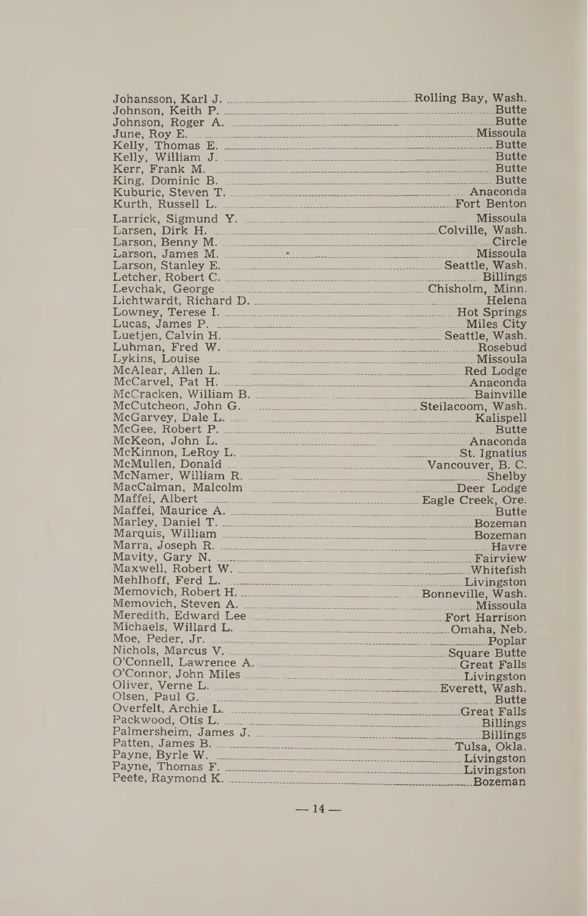| Johansson, Karl J.<br>--------------------                                                                                                                                                                                     | Rolling Bay, Wash.                |
|--------------------------------------------------------------------------------------------------------------------------------------------------------------------------------------------------------------------------------|-----------------------------------|
|                                                                                                                                                                                                                                |                                   |
|                                                                                                                                                                                                                                |                                   |
|                                                                                                                                                                                                                                |                                   |
| Kelly, Thomas E.                                                                                                                                                                                                               |                                   |
| Kelly, William J.                                                                                                                                                                                                              |                                   |
| Kerr, Frank M.                                                                                                                                                                                                                 |                                   |
|                                                                                                                                                                                                                                |                                   |
|                                                                                                                                                                                                                                |                                   |
| Kurth, Russell L.                                                                                                                                                                                                              |                                   |
|                                                                                                                                                                                                                                | Missoula                          |
| Larsen, Dirk H.                                                                                                                                                                                                                |                                   |
| Larson, Benny M.                                                                                                                                                                                                               | Circle                            |
|                                                                                                                                                                                                                                | Missoula                          |
|                                                                                                                                                                                                                                |                                   |
|                                                                                                                                                                                                                                |                                   |
|                                                                                                                                                                                                                                | Helena                            |
|                                                                                                                                                                                                                                | <b>Hot Springs</b>                |
| Lucas, James P.                                                                                                                                                                                                                |                                   |
|                                                                                                                                                                                                                                |                                   |
|                                                                                                                                                                                                                                |                                   |
| Lykins, Louise                                                                                                                                                                                                                 |                                   |
| McAlear, Allen L. 2008. Enclose the McAlear, Allen Lodge                                                                                                                                                                       |                                   |
|                                                                                                                                                                                                                                |                                   |
|                                                                                                                                                                                                                                |                                   |
| McCutcheon, John G. Manuel Martin Mash.                                                                                                                                                                                        |                                   |
|                                                                                                                                                                                                                                |                                   |
| McGee, Robert P.                                                                                                                                                                                                               | <b>Butte</b>                      |
| McKeon, John L.<br>Anaconda                                                                                                                                                                                                    |                                   |
|                                                                                                                                                                                                                                |                                   |
| McMullen, Donald<br>Vancouver, B. C.                                                                                                                                                                                           |                                   |
| McNamer, William R. 2000 and 2000 and 2000 and 2000 and 2000 and 2000 and 2000 and 2000 and 2000 and 2000 and 2000 and 2000 and 2000 and 2000 and 2000 and 2000 and 2000 and 2000 and 2000 and 2000 and 2000 and 2000 and 2000 |                                   |
| Maffei, Albert Matter Albert Matter Matter Matter Den Eagle Creek, Ore.                                                                                                                                                        |                                   |
|                                                                                                                                                                                                                                |                                   |
|                                                                                                                                                                                                                                |                                   |
|                                                                                                                                                                                                                                |                                   |
|                                                                                                                                                                                                                                | Havre                             |
| Mavity, Gary N.                                                                                                                                                                                                                |                                   |
|                                                                                                                                                                                                                                |                                   |
| Mehlhoff, Ferd L.                                                                                                                                                                                                              |                                   |
| Memovich, Robert H. Massachusetten, Wash.                                                                                                                                                                                      |                                   |
|                                                                                                                                                                                                                                | <b>Missoula</b>                   |
|                                                                                                                                                                                                                                |                                   |
| Michaels, Willard L.                                                                                                                                                                                                           |                                   |
| Moe, Peder, Jr.                                                                                                                                                                                                                |                                   |
| Nichols, Marcus V.                                                                                                                                                                                                             | <b>Example 2018 Square Butter</b> |
| O'Connell, Lawrence A <b>Connection</b> Great Falls                                                                                                                                                                            |                                   |
| O'Connor, John Miles<br>Livingston                                                                                                                                                                                             |                                   |
| Olsen, Paul G.                                                                                                                                                                                                                 |                                   |
|                                                                                                                                                                                                                                | <b>Butte</b>                      |
|                                                                                                                                                                                                                                |                                   |
| Palmersheim, James J. <b>Martin and Palmersheim</b> , Billings                                                                                                                                                                 |                                   |
| Patten, James B.<br>Tulsa, Okla.                                                                                                                                                                                               |                                   |
| Payne, Byrle W.                                                                                                                                                                                                                |                                   |
| Payne, Thomas F.<br>Livingston                                                                                                                                                                                                 |                                   |
|                                                                                                                                                                                                                                | Bozeman                           |
|                                                                                                                                                                                                                                |                                   |

 $-14-$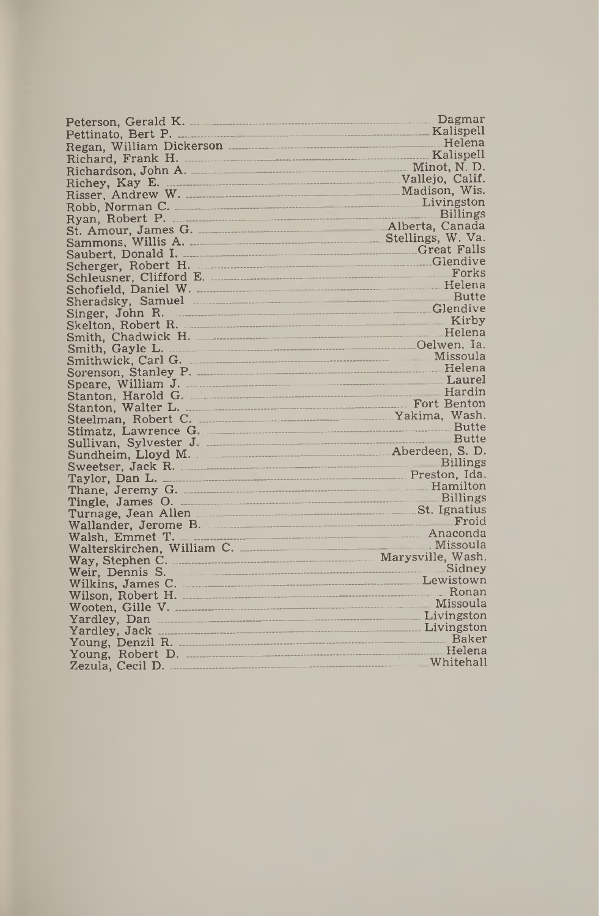|                                                                                                                                                                                                                                      | Dagmar          |
|--------------------------------------------------------------------------------------------------------------------------------------------------------------------------------------------------------------------------------------|-----------------|
|                                                                                                                                                                                                                                      | Kalispell       |
| Regan, William Dickerson                                                                                                                                                                                                             | Helena          |
|                                                                                                                                                                                                                                      |                 |
| Richardson, John A. Minot, N.D.                                                                                                                                                                                                      |                 |
|                                                                                                                                                                                                                                      |                 |
|                                                                                                                                                                                                                                      |                 |
|                                                                                                                                                                                                                                      |                 |
| Ryan, Robert P.                                                                                                                                                                                                                      | <b>Billings</b> |
|                                                                                                                                                                                                                                      |                 |
|                                                                                                                                                                                                                                      |                 |
|                                                                                                                                                                                                                                      |                 |
| Scherger, Robert H. <b>Marshall and Scherger</b> , Robert H.                                                                                                                                                                         |                 |
|                                                                                                                                                                                                                                      | Forks           |
|                                                                                                                                                                                                                                      |                 |
| Sheradsky, Samuel <b>Executive Sheradsky</b> , Samuel <b>Executive Sheradsky</b> , Samuel <b>Executive Sheradsky</b>                                                                                                                 |                 |
|                                                                                                                                                                                                                                      | Glendive        |
| Singer, John R.<br>Skelton, Robert R.                                                                                                                                                                                                | Kirby           |
|                                                                                                                                                                                                                                      | Helena          |
|                                                                                                                                                                                                                                      |                 |
| Smithwick, Carl G. Missoula                                                                                                                                                                                                          |                 |
|                                                                                                                                                                                                                                      |                 |
| Speare, William J. <b>Martin American Speare</b> , Laurel                                                                                                                                                                            |                 |
|                                                                                                                                                                                                                                      | Hardin          |
|                                                                                                                                                                                                                                      |                 |
|                                                                                                                                                                                                                                      |                 |
|                                                                                                                                                                                                                                      |                 |
|                                                                                                                                                                                                                                      |                 |
|                                                                                                                                                                                                                                      |                 |
| Sweetser, Jack R.                                                                                                                                                                                                                    | Billings        |
|                                                                                                                                                                                                                                      |                 |
|                                                                                                                                                                                                                                      |                 |
|                                                                                                                                                                                                                                      | <b>Billings</b> |
| Turnage, Jean Allen <b>Martin Martin Allen</b> St. Ignatius                                                                                                                                                                          |                 |
| Wallander, Jerome B.                                                                                                                                                                                                                 | Froid           |
|                                                                                                                                                                                                                                      |                 |
|                                                                                                                                                                                                                                      |                 |
|                                                                                                                                                                                                                                      |                 |
| Weir, Dennis S.                                                                                                                                                                                                                      | Sidney          |
| Wilkins, James C. 2000 Milkins, Lewistown                                                                                                                                                                                            |                 |
| Wilson, Robert H. Martin Martin Martin Ronan                                                                                                                                                                                         |                 |
| Wooten, Gille V. Martin March 1998                                                                                                                                                                                                   | Missoula        |
|                                                                                                                                                                                                                                      |                 |
| Yardley, Jack <b>Marketter and Science Australian Communist Communist Communist Communist Communist Communist Communist Communist Communist Communist Communist Communist Communist Communist Communist Communist Communist Comm</b> |                 |
|                                                                                                                                                                                                                                      |                 |
| Young, Robert D.                                                                                                                                                                                                                     | Helena          |
|                                                                                                                                                                                                                                      |                 |
|                                                                                                                                                                                                                                      |                 |